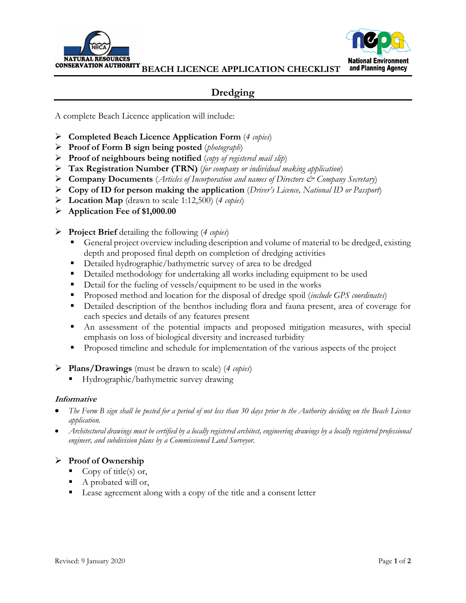



**BEACH LICENCE APPLICATION CHECKLIST**

# **Dredging**

A complete Beach Licence application will include:

- **Completed Beach Licence Application Form** (*4 copies*)
- **Proof of Form B sign being posted** (*photograph*)
- **Proof of neighbours being notified** (*copy of registered mail slip*)
- **Tax Registration Number (TRN)** (*for company or individual making application*)
- **Company Documents** (*Articles of Incorporation and names of Directors & Company Secretary*)
- **Copy of ID for person making the application** (*Driver's Licence, National ID or Passport*)
- **Location Map** (drawn to scale 1:12,500) (*4 copies*)
- **Application Fee of \$1,000.00**
- **Project Brief** detailing the following (*4 copies*)
	- General project overview including description and volume of material to be dredged, existing depth and proposed final depth on completion of dredging activities
	- Detailed hydrographic/bathymetric survey of area to be dredged
	- **Detailed methodology for undertaking all works including equipment to be used**
	- Detail for the fueling of vessels/equipment to be used in the works
	- Proposed method and location for the disposal of dredge spoil (*include GPS coordinates*)
	- Detailed description of the benthos including flora and fauna present, area of coverage for each species and details of any features present
	- An assessment of the potential impacts and proposed mitigation measures, with special emphasis on loss of biological diversity and increased turbidity
	- **Proposed timeline and schedule for implementation of the various aspects of the project**

### **Plans/Drawings** (must be drawn to scale) (*4 copies*)

Hydrographic/bathymetric survey drawing

#### **Informative**

- *The Form B sign shall be posted for a period of not less than 30 days prior to the Authority deciding on the Beach Licence application.*
- *Architectural drawings must be certified by a locally registered architect, engineering drawings by a locally registered professional engineer, and subdivision plans by a Commissioned Land Surveyor.*

## **Proof of Ownership**

- Copy of title(s) or,
- A probated will or,
- Lease agreement along with a copy of the title and a consent letter